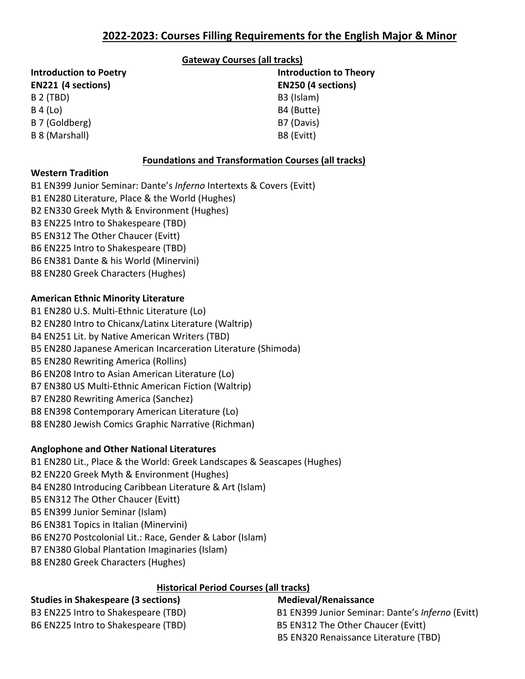## **Gateway Courses (all tracks)**

| <b>Introduction to Theory</b><br><b>EN250 (4 sections)</b> |
|------------------------------------------------------------|
|                                                            |
| B4 (Butte)                                                 |
| B7 (Davis)                                                 |
| B8 (Evitt)                                                 |
|                                                            |

# **Foundations and Transformation Courses (all tracks)**

## **Western Tradition**

B1 EN399 Junior Seminar: Dante's *Inferno* Intertexts & Covers (Evitt) B1 EN280 Literature, Place & the World (Hughes) B2 EN330 Greek Myth & Environment (Hughes) B3 EN225 Intro to Shakespeare (TBD) B5 EN312 The Other Chaucer (Evitt) B6 EN225 Intro to Shakespeare (TBD) B6 EN381 Dante & his World (Minervini) B8 EN280 Greek Characters (Hughes)

## **American Ethnic Minority Literature**

B1 EN280 U.S. Multi-Ethnic Literature (Lo) B2 EN280 Intro to Chicanx/Latinx Literature (Waltrip) B4 EN251 Lit. by Native American Writers (TBD) B5 EN280 Japanese American Incarceration Literature (Shimoda) B5 EN280 Rewriting America (Rollins) B6 EN208 Intro to Asian American Literature (Lo) B7 EN380 US Multi-Ethnic American Fiction (Waltrip) B7 EN280 Rewriting America (Sanchez) B8 EN398 Contemporary American Literature (Lo) B8 EN280 Jewish Comics Graphic Narrative (Richman)

# **Anglophone and Other National Literatures**

B1 EN280 Lit., Place & the World: Greek Landscapes & Seascapes (Hughes) B2 EN220 Greek Myth & Environment (Hughes) B4 EN280 Introducing Caribbean Literature & Art (Islam) B5 EN312 The Other Chaucer (Evitt) B5 EN399 Junior Seminar (Islam) B6 EN381 Topics in Italian (Minervini) B6 EN270 Postcolonial Lit.: Race, Gender & Labor (Islam) B7 EN380 Global Plantation Imaginaries (Islam) B8 EN280 Greek Characters (Hughes)

# **Historical Period Courses (all tracks)**

# **Studies in Shakespeare (3 sections) Medieval/Renaissance**

B6 EN225 Intro to Shakespeare (TBD) B5 EN312 The Other Chaucer (Evitt)

B3 EN225 Intro to Shakespeare (TBD) B1 EN399 Junior Seminar: Dante's *Inferno* (Evitt) B5 EN320 Renaissance Literature (TBD)